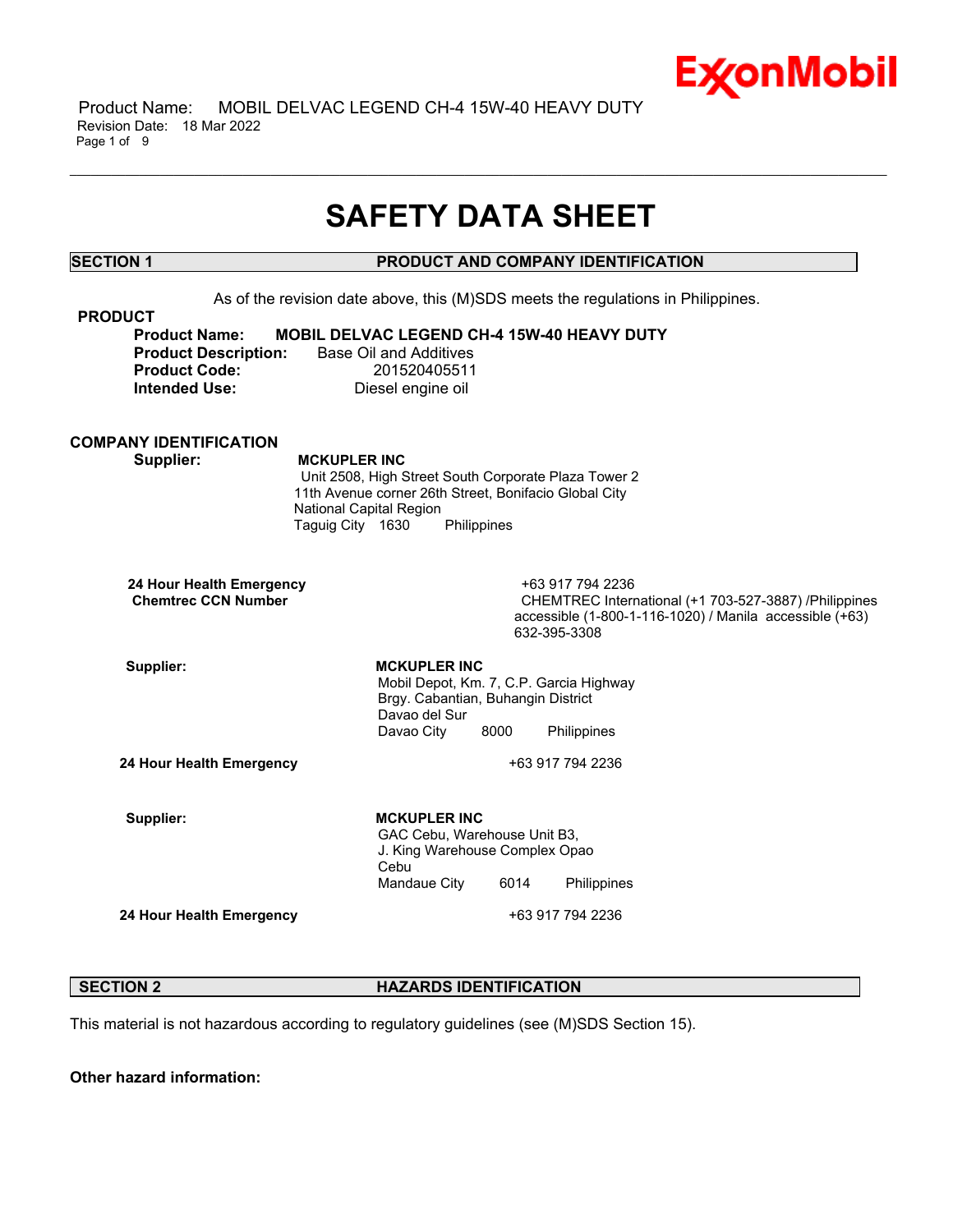

 Product Name: MOBIL DELVAC LEGEND CH-4 15W-40 HEAVY DUTY Revision Date: 18 Mar 2022 Page 1 of 9

# **SAFETY DATA SHEET**

\_\_\_\_\_\_\_\_\_\_\_\_\_\_\_\_\_\_\_\_\_\_\_\_\_\_\_\_\_\_\_\_\_\_\_\_\_\_\_\_\_\_\_\_\_\_\_\_\_\_\_\_\_\_\_\_\_\_\_\_\_\_\_\_\_\_\_\_\_\_\_\_\_\_\_\_\_\_\_\_\_\_\_\_\_\_\_\_\_\_\_\_\_\_\_\_\_\_\_\_\_\_\_\_\_\_\_\_\_\_\_\_\_\_\_\_\_\_

**SECTION 1 PRODUCT AND COMPANY IDENTIFICATION**

As of the revision date above, this (M)SDS meets the regulations in Philippines. **PRODUCT Product Name: MOBIL DELVAC LEGEND CH-4 15W-40 HEAVY DUTY Product Description:** Base Oil and Additives **Product Code:** 201520405511 **Intended Use:** Diesel engine oil **COMPANY IDENTIFICATION Supplier: MCKUPLER INC** Unit 2508, High Street South Corporate Plaza Tower 2 11th Avenue corner 26th Street, Bonifacio Global City National Capital Region Taguig City 1630 Philippines **24 Hour Health Emergency** +63 917 794 2236 **CHEMTREC International (+1 703-527-3887) /Philippines** accessible (1-800-1-116-1020) / Manila accessible (+63) 632-395-3308 Supplier: MCKUPLER INC Mobil Depot, Km. 7, C.P. Garcia Highway Brgy. Cabantian, Buhangin District Davao del Sur Davao City 8000 Philippines **24 Hour Health Emergency** +63 917 794 2236 Supplier: **MCKUPLER** INC GAC Cebu, Warehouse Unit B3, J. King Warehouse Complex Opao Cebu Mandaue City 6014 Philippines **24 Hour Health Emergency** +63 917 794 2236

# **SECTION 2 HAZARDS IDENTIFICATION**

This material is not hazardous according to regulatory guidelines (see (M)SDS Section 15).

**Other hazard information:**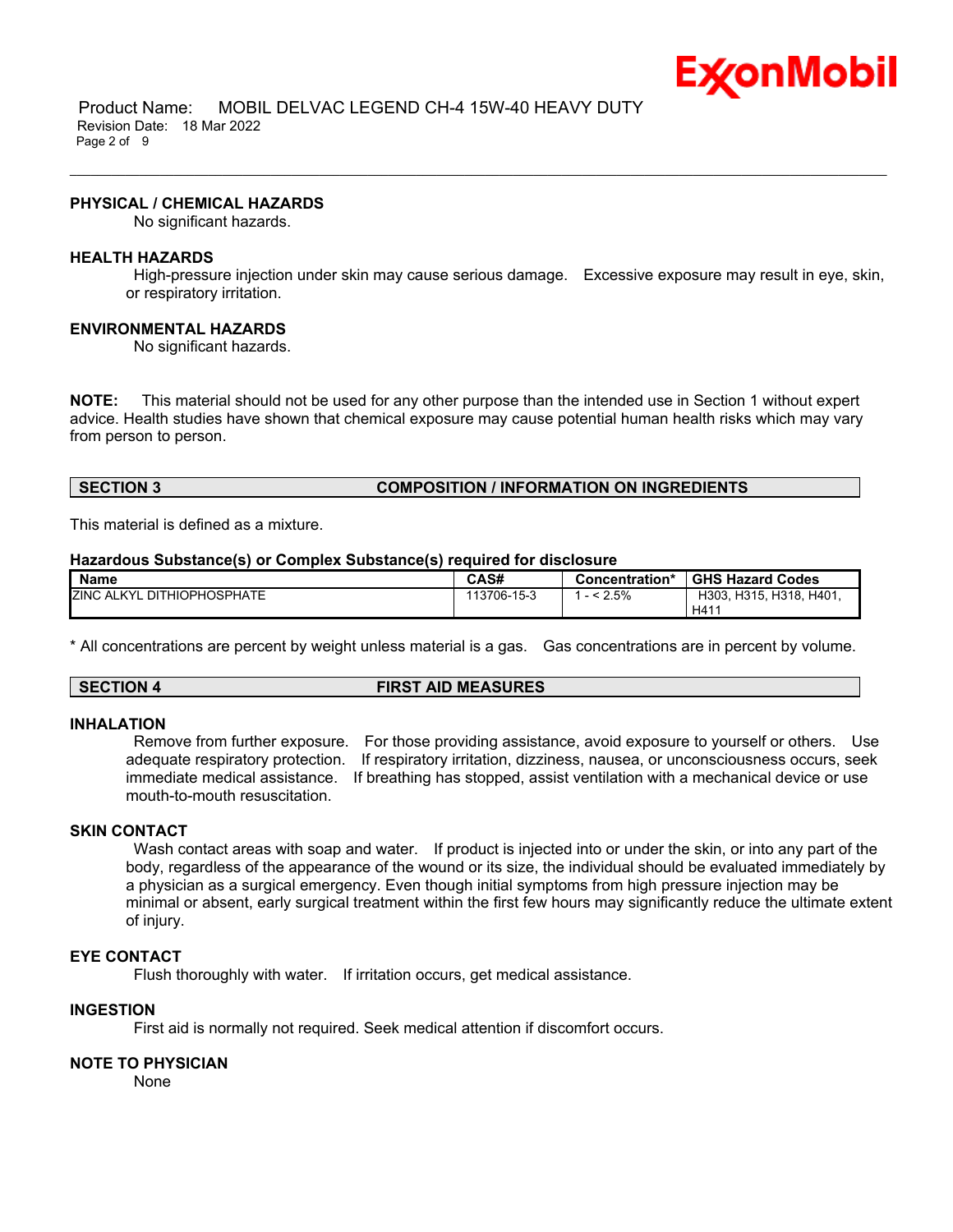

 Product Name: MOBIL DELVAC LEGEND CH-4 15W-40 HEAVY DUTY Revision Date: 18 Mar 2022 Page 2 of 9

#### **PHYSICAL / CHEMICAL HAZARDS**

No significant hazards.

#### **HEALTH HAZARDS**

High-pressure injection under skin may cause serious damage. Excessive exposure may result in eye, skin, or respiratory irritation.

\_\_\_\_\_\_\_\_\_\_\_\_\_\_\_\_\_\_\_\_\_\_\_\_\_\_\_\_\_\_\_\_\_\_\_\_\_\_\_\_\_\_\_\_\_\_\_\_\_\_\_\_\_\_\_\_\_\_\_\_\_\_\_\_\_\_\_\_\_\_\_\_\_\_\_\_\_\_\_\_\_\_\_\_\_\_\_\_\_\_\_\_\_\_\_\_\_\_\_\_\_\_\_\_\_\_\_\_\_\_\_\_\_\_\_\_\_\_

#### **ENVIRONMENTAL HAZARDS**

No significant hazards.

**NOTE:** This material should not be used for any other purpose than the intended use in Section 1 without expert advice. Health studies have shown that chemical exposure may cause potential human health risks which may vary from person to person.

# **SECTION 3 COMPOSITION / INFORMATION ON INGREDIENTS**

This material is defined as a mixture.

#### **Hazardous Substance(s) or Complex Substance(s) required for disclosure**

| <b>Name</b>                            | CAS#        | Concentration* | <b>GHS Hazard Codes</b> |
|----------------------------------------|-------------|----------------|-------------------------|
| <b>ZINC ALKYL</b><br>. DITHIOPHOSPHATE | 113706-15-3 | 2.5%           | H303, H315, H318, H401, |
|                                        |             |                | H41                     |

\* All concentrations are percent by weight unless material is a gas. Gas concentrations are in percent by volume.

# **SECTION 4 FIRST AID MEASURES**

#### **INHALATION**

Remove from further exposure. For those providing assistance, avoid exposure to yourself or others. Use adequate respiratory protection. If respiratory irritation, dizziness, nausea, or unconsciousness occurs, seek immediate medical assistance. If breathing has stopped, assist ventilation with a mechanical device or use mouth-to-mouth resuscitation.

# **SKIN CONTACT**

Wash contact areas with soap and water. If product is injected into or under the skin, or into any part of the body, regardless of the appearance of the wound or its size, the individual should be evaluated immediately by a physician as a surgical emergency. Even though initial symptoms from high pressure injection may be minimal or absent, early surgical treatment within the first few hours may significantly reduce the ultimate extent of injury.

# **EYE CONTACT**

Flush thoroughly with water. If irritation occurs, get medical assistance.

### **INGESTION**

First aid is normally not required. Seek medical attention if discomfort occurs.

### **NOTE TO PHYSICIAN**

None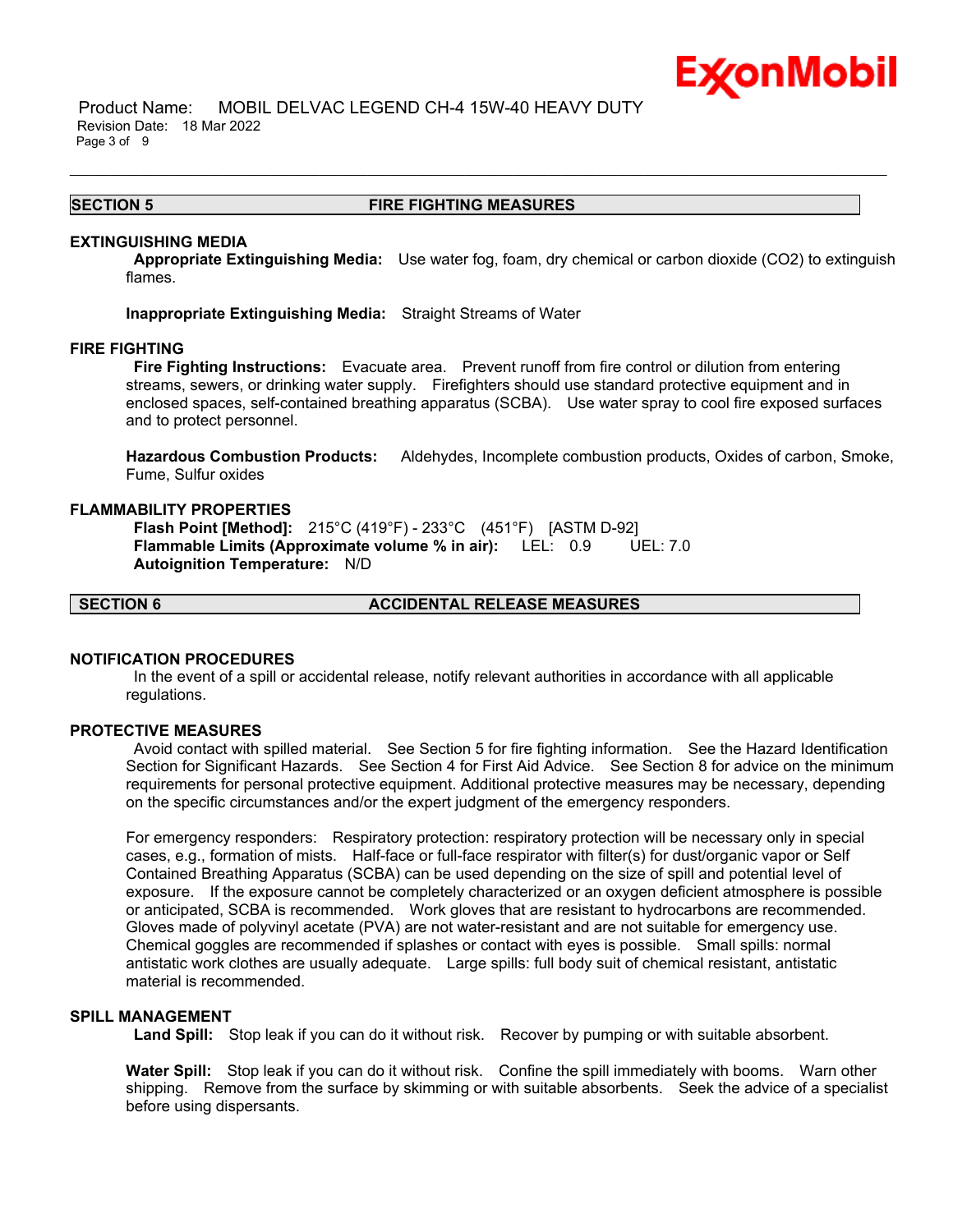

 Product Name: MOBIL DELVAC LEGEND CH-4 15W-40 HEAVY DUTY Revision Date: 18 Mar 2022 Page 3 of 9

### **SECTION 5 FIRE FIGHTING MEASURES**

\_\_\_\_\_\_\_\_\_\_\_\_\_\_\_\_\_\_\_\_\_\_\_\_\_\_\_\_\_\_\_\_\_\_\_\_\_\_\_\_\_\_\_\_\_\_\_\_\_\_\_\_\_\_\_\_\_\_\_\_\_\_\_\_\_\_\_\_\_\_\_\_\_\_\_\_\_\_\_\_\_\_\_\_\_\_\_\_\_\_\_\_\_\_\_\_\_\_\_\_\_\_\_\_\_\_\_\_\_\_\_\_\_\_\_\_\_\_

#### **EXTINGUISHING MEDIA**

**Appropriate Extinguishing Media:** Use water fog, foam, dry chemical or carbon dioxide (CO2) to extinguish flames.

**Inappropriate Extinguishing Media:** Straight Streams of Water

#### **FIRE FIGHTING**

**Fire Fighting Instructions:** Evacuate area. Prevent runoff from fire control or dilution from entering streams, sewers, or drinking water supply. Firefighters should use standard protective equipment and in enclosed spaces, self-contained breathing apparatus (SCBA). Use water spray to cool fire exposed surfaces and to protect personnel.

**Hazardous Combustion Products:** Aldehydes, Incomplete combustion products, Oxides of carbon, Smoke, Fume, Sulfur oxides

### **FLAMMABILITY PROPERTIES**

**Flash Point [Method]:** 215°C (419°F) - 233°C (451°F) [ASTM D-92] **Flammable Limits (Approximate volume % in air):** LEL: 0.9 UEL: 7.0 **Autoignition Temperature:** N/D

**SECTION 6 ACCIDENTAL RELEASE MEASURES**

# **NOTIFICATION PROCEDURES**

In the event of a spill or accidental release, notify relevant authorities in accordance with all applicable regulations.

#### **PROTECTIVE MEASURES**

Avoid contact with spilled material. See Section 5 for fire fighting information. See the Hazard Identification Section for Significant Hazards. See Section 4 for First Aid Advice. See Section 8 for advice on the minimum requirements for personal protective equipment. Additional protective measures may be necessary, depending on the specific circumstances and/or the expert judgment of the emergency responders.

For emergency responders: Respiratory protection: respiratory protection will be necessary only in special cases, e.g., formation of mists. Half-face or full-face respirator with filter(s) for dust/organic vapor or Self Contained Breathing Apparatus (SCBA) can be used depending on the size of spill and potential level of exposure. If the exposure cannot be completely characterized or an oxygen deficient atmosphere is possible or anticipated, SCBA is recommended. Work gloves that are resistant to hydrocarbons are recommended. Gloves made of polyvinyl acetate (PVA) are not water-resistant and are not suitable for emergency use. Chemical goggles are recommended if splashes or contact with eyes is possible. Small spills: normal antistatic work clothes are usually adequate. Large spills: full body suit of chemical resistant, antistatic material is recommended.

# **SPILL MANAGEMENT**

**Land Spill:** Stop leak if you can do it without risk. Recover by pumping or with suitable absorbent.

**Water Spill:** Stop leak if you can do it without risk. Confine the spill immediately with booms. Warn other shipping. Remove from the surface by skimming or with suitable absorbents. Seek the advice of a specialist before using dispersants.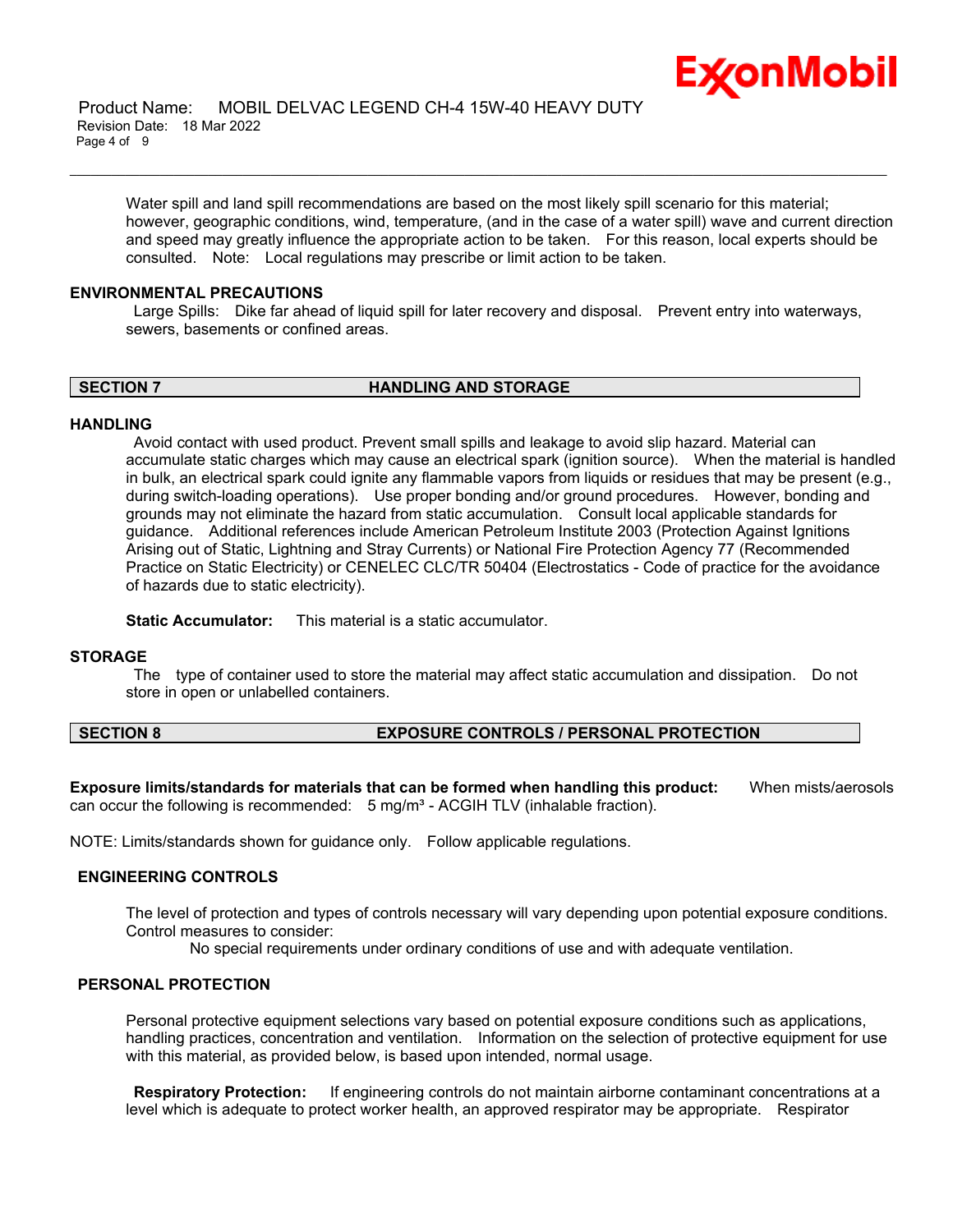

Water spill and land spill recommendations are based on the most likely spill scenario for this material; however, geographic conditions, wind, temperature, (and in the case of a water spill) wave and current direction and speed may greatly influence the appropriate action to be taken. For this reason, local experts should be consulted. Note: Local regulations may prescribe or limit action to be taken.

\_\_\_\_\_\_\_\_\_\_\_\_\_\_\_\_\_\_\_\_\_\_\_\_\_\_\_\_\_\_\_\_\_\_\_\_\_\_\_\_\_\_\_\_\_\_\_\_\_\_\_\_\_\_\_\_\_\_\_\_\_\_\_\_\_\_\_\_\_\_\_\_\_\_\_\_\_\_\_\_\_\_\_\_\_\_\_\_\_\_\_\_\_\_\_\_\_\_\_\_\_\_\_\_\_\_\_\_\_\_\_\_\_\_\_\_\_\_

### **ENVIRONMENTAL PRECAUTIONS**

Large Spills: Dike far ahead of liquid spill for later recovery and disposal. Prevent entry into waterways, sewers, basements or confined areas.

**SECTION 7 HANDLING AND STORAGE**

#### **HANDLING**

Avoid contact with used product. Prevent small spills and leakage to avoid slip hazard. Material can accumulate static charges which may cause an electrical spark (ignition source). When the material is handled in bulk, an electrical spark could ignite any flammable vapors from liquids or residues that may be present (e.g., during switch-loading operations). Use proper bonding and/or ground procedures. However, bonding and grounds may not eliminate the hazard from static accumulation. Consult local applicable standards for guidance. Additional references include American Petroleum Institute 2003 (Protection Against Ignitions Arising out of Static, Lightning and Stray Currents) or National Fire Protection Agency 77 (Recommended Practice on Static Electricity) or CENELEC CLC/TR 50404 (Electrostatics - Code of practice for the avoidance of hazards due to static electricity).

**Static Accumulator:** This material is a static accumulator.

#### **STORAGE**

The type of container used to store the material may affect static accumulation and dissipation. Do not store in open or unlabelled containers.

# **SECTION 8 EXPOSURE CONTROLS / PERSONAL PROTECTION**

**Exposure limits/standards for materials that can be formed when handling this product:** When mists/aerosols can occur the following is recommended:  $5 \text{ mg/m}^3$  - ACGIH TLV (inhalable fraction).

NOTE: Limits/standards shown for guidance only. Follow applicable regulations.

# **ENGINEERING CONTROLS**

The level of protection and types of controls necessary will vary depending upon potential exposure conditions. Control measures to consider:

No special requirements under ordinary conditions of use and with adequate ventilation.

# **PERSONAL PROTECTION**

Personal protective equipment selections vary based on potential exposure conditions such as applications, handling practices, concentration and ventilation. Information on the selection of protective equipment for use with this material, as provided below, is based upon intended, normal usage.

**Respiratory Protection:** If engineering controls do not maintain airborne contaminant concentrations at a level which is adequate to protect worker health, an approved respirator may be appropriate. Respirator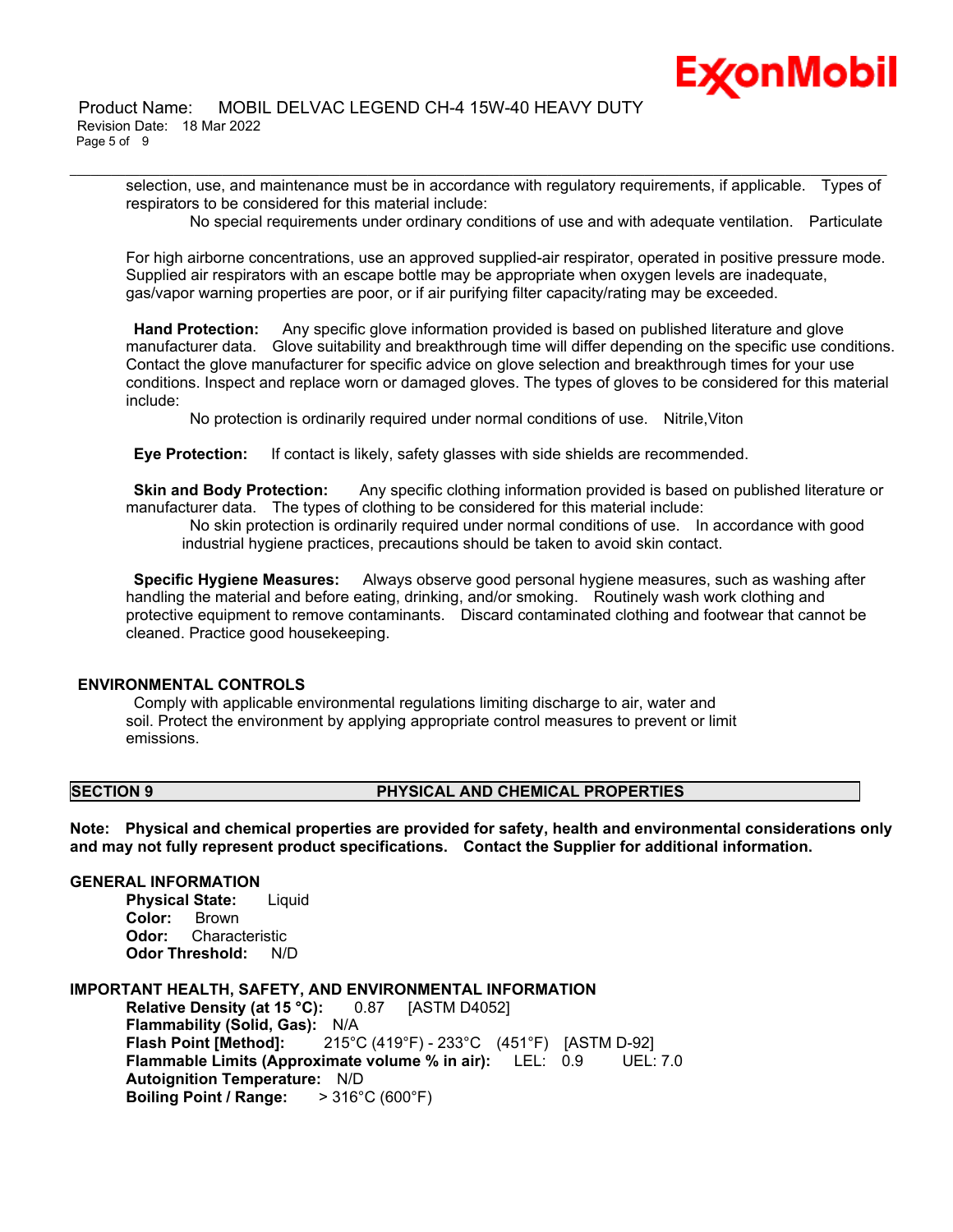selection, use, and maintenance must be in accordance with regulatory requirements, if applicable. Types of respirators to be considered for this material include:

\_\_\_\_\_\_\_\_\_\_\_\_\_\_\_\_\_\_\_\_\_\_\_\_\_\_\_\_\_\_\_\_\_\_\_\_\_\_\_\_\_\_\_\_\_\_\_\_\_\_\_\_\_\_\_\_\_\_\_\_\_\_\_\_\_\_\_\_\_\_\_\_\_\_\_\_\_\_\_\_\_\_\_\_\_\_\_\_\_\_\_\_\_\_\_\_\_\_\_\_\_\_\_\_\_\_\_\_\_\_\_\_\_\_\_\_\_\_

No special requirements under ordinary conditions of use and with adequate ventilation. Particulate

For high airborne concentrations, use an approved supplied-air respirator, operated in positive pressure mode. Supplied air respirators with an escape bottle may be appropriate when oxygen levels are inadequate, gas/vapor warning properties are poor, or if air purifying filter capacity/rating may be exceeded.

**Hand Protection:** Any specific glove information provided is based on published literature and glove manufacturer data. Glove suitability and breakthrough time will differ depending on the specific use conditions. Contact the glove manufacturer for specific advice on glove selection and breakthrough times for your use conditions. Inspect and replace worn or damaged gloves. The types of gloves to be considered for this material include:

No protection is ordinarily required under normal conditions of use. Nitrile,Viton

**Eye Protection:** If contact is likely, safety glasses with side shields are recommended.

**Skin and Body Protection:** Any specific clothing information provided is based on published literature or manufacturer data. The types of clothing to be considered for this material include:

No skin protection is ordinarily required under normal conditions of use. In accordance with good industrial hygiene practices, precautions should be taken to avoid skin contact.

**Specific Hygiene Measures:** Always observe good personal hygiene measures, such as washing after handling the material and before eating, drinking, and/or smoking. Routinely wash work clothing and protective equipment to remove contaminants. Discard contaminated clothing and footwear that cannot be cleaned. Practice good housekeeping.

# **ENVIRONMENTAL CONTROLS**

Comply with applicable environmental regulations limiting discharge to air, water and soil. Protect the environment by applying appropriate control measures to prevent or limit emissions.

# **SECTION 9 PHYSICAL AND CHEMICAL PROPERTIES**

**Note: Physical and chemical properties are provided for safety, health and environmental considerations only and may not fully represent product specifications. Contact the Supplier for additional information.**

# **GENERAL INFORMATION**

**Physical State:** Liquid **Color:** Brown **Odor:** Characteristic **Odor Threshold:** N/D

# **IMPORTANT HEALTH, SAFETY, AND ENVIRONMENTAL INFORMATION**

**Relative Density (at 15 °C):** 0.87 [ASTM D4052] **Flammability (Solid, Gas):** N/A **Flash Point [Method]:** 215°C (419°F) - 233°C (451°F) [ASTM D-92] **Flammable Limits (Approximate volume % in air):** LEL: 0.9 UEL: 7.0 **Autoignition Temperature:** N/D **Boiling Point / Range:** > 316°C (600°F)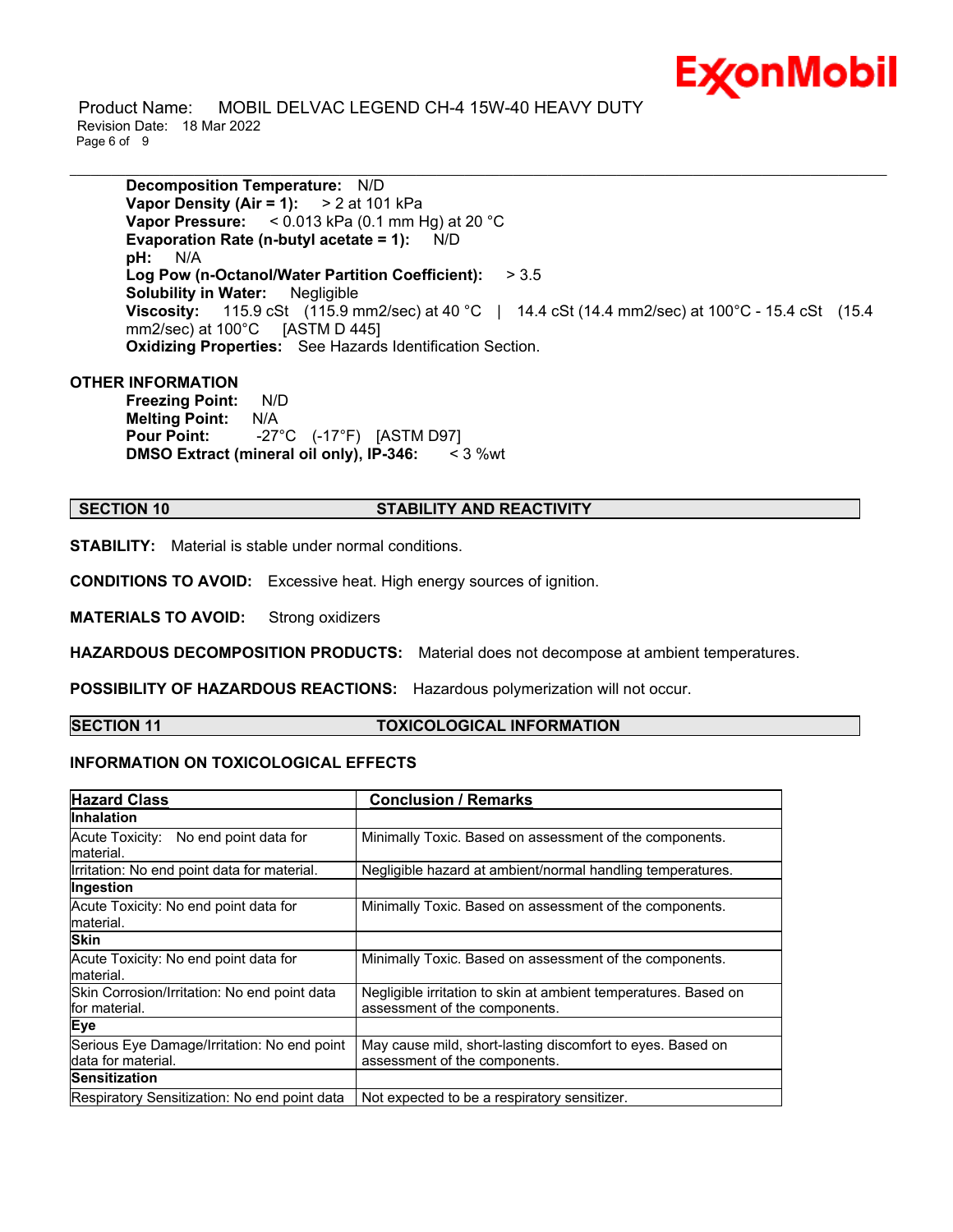

 Product Name: MOBIL DELVAC LEGEND CH-4 15W-40 HEAVY DUTY Revision Date: 18 Mar 2022 Page 6 of 9

**Decomposition Temperature:** N/D **Vapor Density (Air = 1):** > 2 at 101 kPa **Vapor Pressure:** < 0.013 kPa (0.1 mm Hg) at 20 °C **Evaporation Rate (n-butyl acetate = 1):** N/D **pH:** N/A **Log Pow (n-Octanol/Water Partition Coefficient):** > 3.5 **Solubility in Water:** Negligible **Viscosity:** 115.9 cSt (115.9 mm2/sec) at 40 °C | 14.4 cSt (14.4 mm2/sec) at 100°C - 15.4 cSt (15.4 mm2/sec) at 100°C [ASTM D 445] **Oxidizing Properties:** See Hazards Identification Section.

\_\_\_\_\_\_\_\_\_\_\_\_\_\_\_\_\_\_\_\_\_\_\_\_\_\_\_\_\_\_\_\_\_\_\_\_\_\_\_\_\_\_\_\_\_\_\_\_\_\_\_\_\_\_\_\_\_\_\_\_\_\_\_\_\_\_\_\_\_\_\_\_\_\_\_\_\_\_\_\_\_\_\_\_\_\_\_\_\_\_\_\_\_\_\_\_\_\_\_\_\_\_\_\_\_\_\_\_\_\_\_\_\_\_\_\_\_\_

# **OTHER INFORMATION**

**Freezing Point:** N/D **Melting Point:** N/A **Pour Point:** -27°C (-17°F) [ASTM D97] **DMSO Extract (mineral oil only), IP-346:** < 3 %wt

# **SECTION 10 STABILITY AND REACTIVITY**

**STABILITY:** Material is stable under normal conditions.

**CONDITIONS TO AVOID:** Excessive heat. High energy sources of ignition.

**MATERIALS TO AVOID:** Strong oxidizers

**HAZARDOUS DECOMPOSITION PRODUCTS:** Material does not decompose at ambient temperatures.

**POSSIBILITY OF HAZARDOUS REACTIONS:** Hazardous polymerization will not occur.

#### **SECTION 11 TOXICOLOGICAL INFORMATION**

# **INFORMATION ON TOXICOLOGICAL EFFECTS**

| <b>Hazard Class</b>                                               | <b>Conclusion / Remarks</b>                                                                      |  |
|-------------------------------------------------------------------|--------------------------------------------------------------------------------------------------|--|
| <b>Inhalation</b>                                                 |                                                                                                  |  |
| Acute Toxicity: No end point data for<br>material.                | Minimally Toxic. Based on assessment of the components.                                          |  |
| Irritation: No end point data for material.                       | Negligible hazard at ambient/normal handling temperatures.                                       |  |
| Ingestion                                                         |                                                                                                  |  |
| Acute Toxicity: No end point data for<br>material.                | Minimally Toxic. Based on assessment of the components.                                          |  |
| <b>Skin</b>                                                       |                                                                                                  |  |
| Acute Toxicity: No end point data for<br>material.                | Minimally Toxic. Based on assessment of the components.                                          |  |
| Skin Corrosion/Irritation: No end point data<br>lfor material.    | Negligible irritation to skin at ambient temperatures. Based on<br>assessment of the components. |  |
| Eye                                                               |                                                                                                  |  |
| Serious Eye Damage/Irritation: No end point<br>data for material. | May cause mild, short-lasting discomfort to eyes. Based on<br>assessment of the components.      |  |
| <b>Sensitization</b>                                              |                                                                                                  |  |
| Respiratory Sensitization: No end point data                      | Not expected to be a respiratory sensitizer.                                                     |  |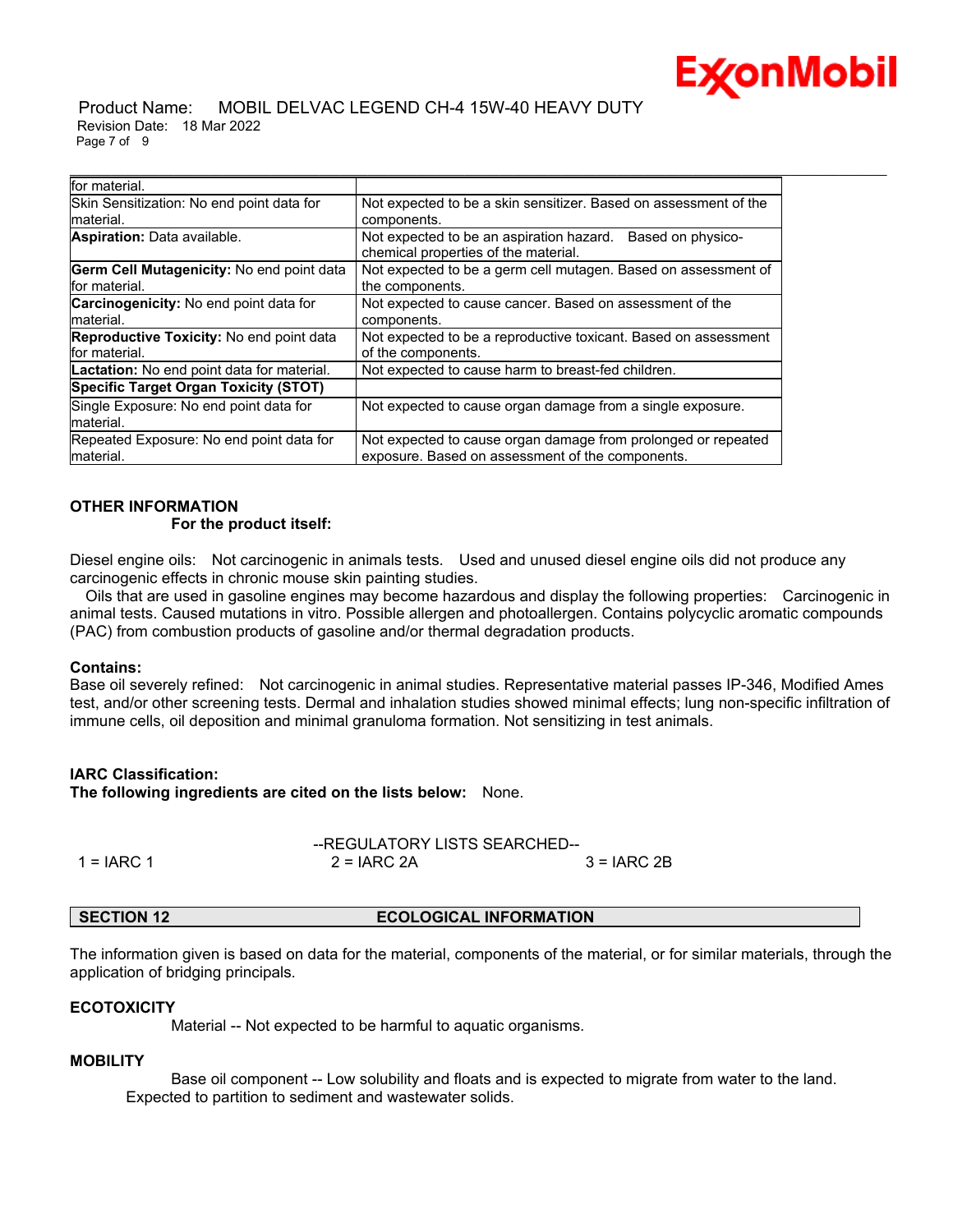

#### Product Name: MOBIL DELVAC LEGEND CH-4 15W-40 HEAVY DUTY Revision Date: 18 Mar 2022 Page 7 of 9

| for material.                                                    |                                                                                                                   |
|------------------------------------------------------------------|-------------------------------------------------------------------------------------------------------------------|
| Skin Sensitization: No end point data for<br>material.           | Not expected to be a skin sensitizer. Based on assessment of the<br>components.                                   |
| <b>Aspiration:</b> Data available.                               | Not expected to be an aspiration hazard. Based on physico-<br>chemical properties of the material.                |
| Germ Cell Mutagenicity: No end point data<br>for material.       | Not expected to be a germ cell mutagen. Based on assessment of<br>the components.                                 |
| <b>Carcinogenicity:</b> No end point data for<br>material.       | Not expected to cause cancer. Based on assessment of the<br>components.                                           |
| <b>Reproductive Toxicity: No end point data</b><br>for material. | Not expected to be a reproductive toxicant. Based on assessment<br>of the components.                             |
| Lactation: No end point data for material.                       | Not expected to cause harm to breast-fed children.                                                                |
| <b>Specific Target Organ Toxicity (STOT)</b>                     |                                                                                                                   |
| Single Exposure: No end point data for<br>lmaterial.             | Not expected to cause organ damage from a single exposure.                                                        |
| Repeated Exposure: No end point data for<br>material.            | Not expected to cause organ damage from prolonged or repeated<br>exposure. Based on assessment of the components. |

# **OTHER INFORMATION**

### **For the product itself:**

Diesel engine oils: Not carcinogenic in animals tests. Used and unused diesel engine oils did not produce any carcinogenic effects in chronic mouse skin painting studies.

 Oils that are used in gasoline engines may become hazardous and display the following properties: Carcinogenic in animal tests. Caused mutations in vitro. Possible allergen and photoallergen. Contains polycyclic aromatic compounds (PAC) from combustion products of gasoline and/or thermal degradation products.

# **Contains:**

Base oil severely refined: Not carcinogenic in animal studies. Representative material passes IP-346, Modified Ames test, and/or other screening tests. Dermal and inhalation studies showed minimal effects; lung non-specific infiltration of immune cells, oil deposition and minimal granuloma formation. Not sensitizing in test animals.

# **IARC Classification:**

**The following ingredients are cited on the lists below:** None.

|              | --REGULATORY LISTS SEARCHED-- |             |
|--------------|-------------------------------|-------------|
| $1 = IARC 1$ | $2 = IARC 2A$                 | 3 = IARC 2B |

**SECTION 12 ECOLOGICAL INFORMATION**

The information given is based on data for the material, components of the material, or for similar materials, through the application of bridging principals.

# **ECOTOXICITY**

Material -- Not expected to be harmful to aquatic organisms.

# **MOBILITY**

 Base oil component -- Low solubility and floats and is expected to migrate from water to the land. Expected to partition to sediment and wastewater solids.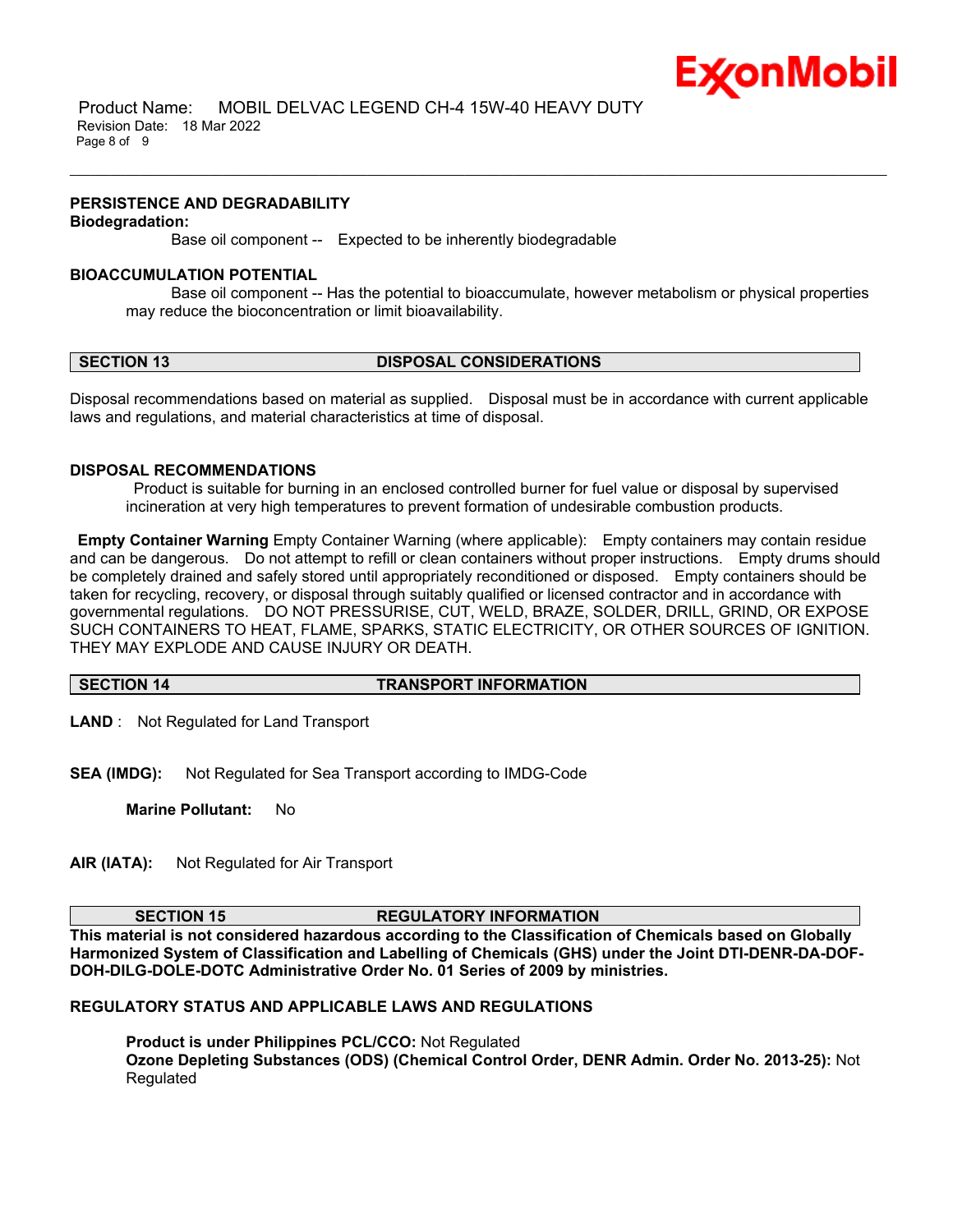

 Product Name: MOBIL DELVAC LEGEND CH-4 15W-40 HEAVY DUTY Revision Date: 18 Mar 2022 Page 8 of 9

### **PERSISTENCE AND DEGRADABILITY**

#### **Biodegradation:**

Base oil component -- Expected to be inherently biodegradable

#### **BIOACCUMULATION POTENTIAL**

 Base oil component -- Has the potential to bioaccumulate, however metabolism or physical properties may reduce the bioconcentration or limit bioavailability.

\_\_\_\_\_\_\_\_\_\_\_\_\_\_\_\_\_\_\_\_\_\_\_\_\_\_\_\_\_\_\_\_\_\_\_\_\_\_\_\_\_\_\_\_\_\_\_\_\_\_\_\_\_\_\_\_\_\_\_\_\_\_\_\_\_\_\_\_\_\_\_\_\_\_\_\_\_\_\_\_\_\_\_\_\_\_\_\_\_\_\_\_\_\_\_\_\_\_\_\_\_\_\_\_\_\_\_\_\_\_\_\_\_\_\_\_\_\_

# **SECTION 13 DISPOSAL CONSIDERATIONS**

Disposal recommendations based on material as supplied. Disposal must be in accordance with current applicable laws and regulations, and material characteristics at time of disposal.

# **DISPOSAL RECOMMENDATIONS**

Product is suitable for burning in an enclosed controlled burner for fuel value or disposal by supervised incineration at very high temperatures to prevent formation of undesirable combustion products.

**Empty Container Warning** Empty Container Warning (where applicable): Empty containers may contain residue and can be dangerous. Do not attempt to refill or clean containers without proper instructions. Empty drums should be completely drained and safely stored until appropriately reconditioned or disposed. Empty containers should be taken for recycling, recovery, or disposal through suitably qualified or licensed contractor and in accordance with governmental regulations. DO NOT PRESSURISE, CUT, WELD, BRAZE, SOLDER, DRILL, GRIND, OR EXPOSE SUCH CONTAINERS TO HEAT, FLAME, SPARKS, STATIC ELECTRICITY, OR OTHER SOURCES OF IGNITION. THEY MAY EXPLODE AND CAUSE INJURY OR DEATH.

# **SECTION 14 TRANSPORT INFORMATION**

**LAND** : Not Regulated for Land Transport

**SEA (IMDG):** Not Regulated for Sea Transport according to IMDG-Code

**Marine Pollutant:** No

**AIR (IATA):** Not Regulated for Air Transport

#### **SECTION 15 REGULATORY INFORMATION**

**This material is not considered hazardous according to the Classification of Chemicals based on Globally Harmonized System of Classification and Labelling of Chemicals (GHS) under the Joint DTI-DENR-DA-DOF-DOH-DILG-DOLE-DOTC Administrative Order No. 01 Series of 2009 by ministries.**

# **REGULATORY STATUS AND APPLICABLE LAWS AND REGULATIONS**

**Product is under Philippines PCL/CCO:** Not Regulated **Ozone Depleting Substances (ODS) (Chemical Control Order, DENR Admin. Order No. 2013-25):** Not Regulated